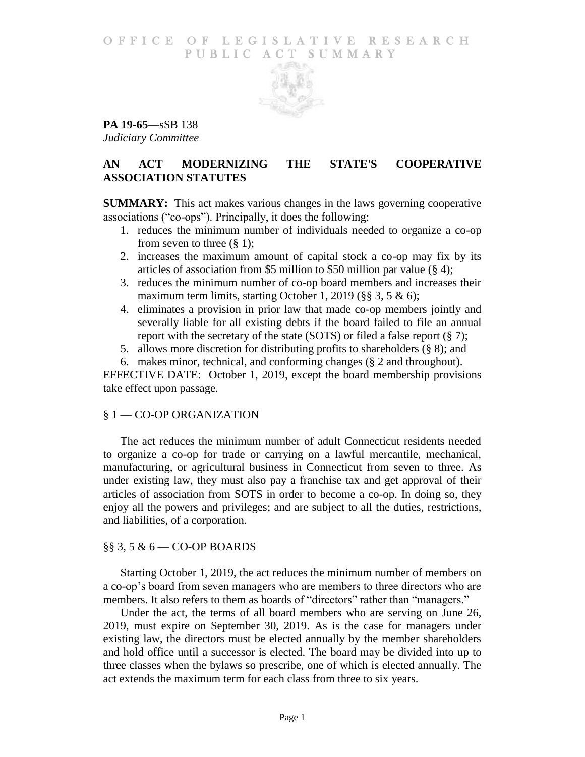### O F FICE OF LEGISLATIVE RESEARCH PUBLIC ACT SUMMARY



**PA 19-65**—sSB 138 *Judiciary Committee*

# **AN ACT MODERNIZING THE STATE'S COOPERATIVE ASSOCIATION STATUTES**

**SUMMARY:** This act makes various changes in the laws governing cooperative associations ("co-ops"). Principally, it does the following:

- 1. reduces the minimum number of individuals needed to organize a co-op from seven to three  $(\S 1)$ ;
- 2. increases the maximum amount of capital stock a co-op may fix by its articles of association from \$5 million to \$50 million par value (§ 4);
- 3. reduces the minimum number of co-op board members and increases their maximum term limits, starting October 1, 2019 (§§ 3, 5 & 6);
- 4. eliminates a provision in prior law that made co-op members jointly and severally liable for all existing debts if the board failed to file an annual report with the secretary of the state (SOTS) or filed a false report (§ 7);
- 5. allows more discretion for distributing profits to shareholders (§ 8); and
- 6. makes minor, technical, and conforming changes (§ 2 and throughout).

EFFECTIVE DATE: October 1, 2019, except the board membership provisions take effect upon passage.

## § 1 — CO-OP ORGANIZATION

The act reduces the minimum number of adult Connecticut residents needed to organize a co-op for trade or carrying on a lawful mercantile, mechanical, manufacturing, or agricultural business in Connecticut from seven to three. As under existing law, they must also pay a franchise tax and get approval of their articles of association from SOTS in order to become a co-op. In doing so, they enjoy all the powers and privileges; and are subject to all the duties, restrictions, and liabilities, of a corporation.

## §§ 3, 5 & 6 — CO-OP BOARDS

Starting October 1, 2019, the act reduces the minimum number of members on a co-op's board from seven managers who are members to three directors who are members. It also refers to them as boards of "directors" rather than "managers."

Under the act, the terms of all board members who are serving on June 26, 2019, must expire on September 30, 2019. As is the case for managers under existing law, the directors must be elected annually by the member shareholders and hold office until a successor is elected. The board may be divided into up to three classes when the bylaws so prescribe, one of which is elected annually. The act extends the maximum term for each class from three to six years.